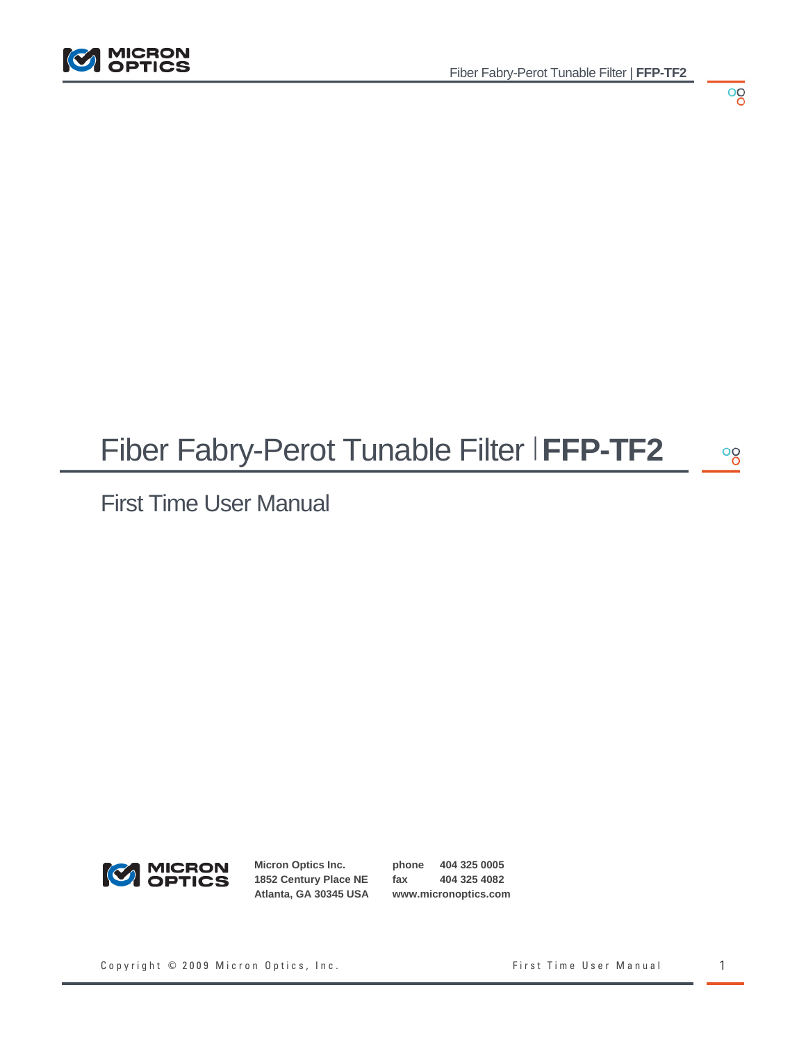

#### Fiber Fabry-Perot Tunable Filter | **FFP-TF2**  $\frac{1}{\sqrt{2}}$

First Time User Manual



**Micron Optics Inc. 1852 Century Place NE Atlanta, GA 30345 USA**

**phone 404 325 0005 fax 404 325 4082 www.micronoptics.com**

Copyright © 2009 Micron Optics, Inc. The South Copyright © 2009 Micron Optics, Inc. The South Copyright Copyright Manual 1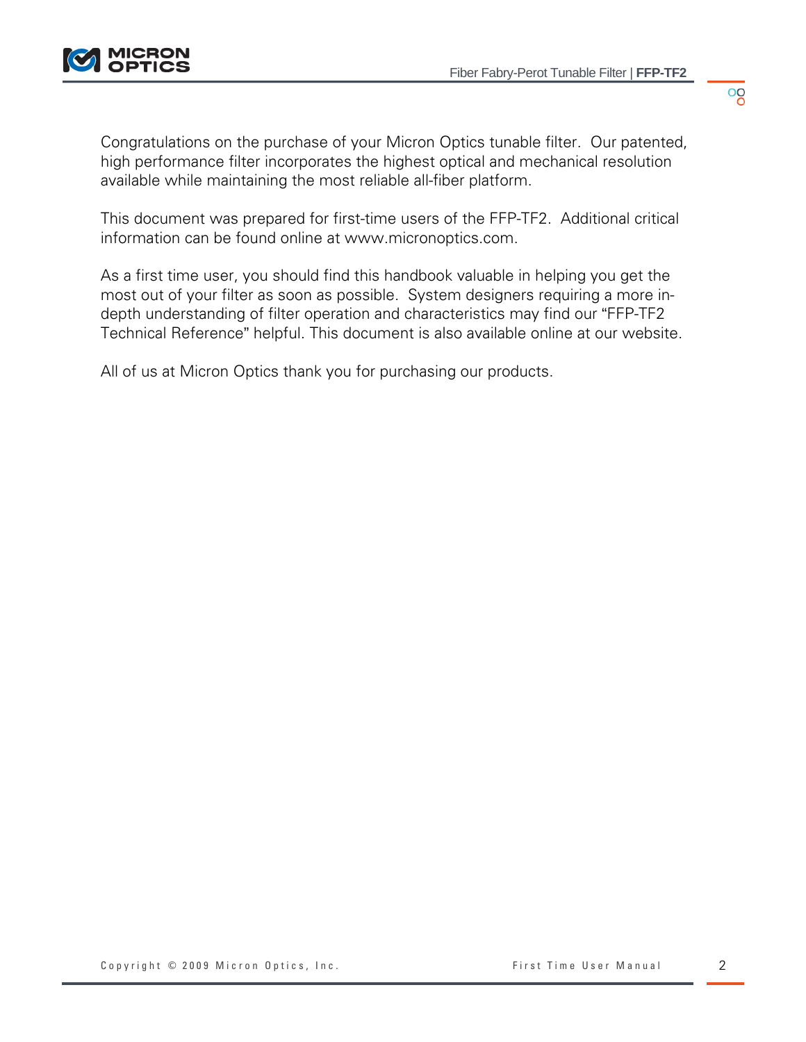$^{00}_{0}$ 

Congratulations on the purchase of your Micron Optics tunable filter. Our patented, high performance filter incorporates the highest optical and mechanical resolution available while maintaining the most reliable all-fiber platform.

This document was prepared for first-time users of the FFP-TF2. Additional critical information can be found online at www.micronoptics.com.

As a first time user, you should find this handbook valuable in helping you get the most out of your filter as soon as possible. System designers requiring a more indepth understanding of filter operation and characteristics may find our "FFP-TF2 Technical Reference" helpful. This document is also available online at our website.

All of us at Micron Optics thank you for purchasing our products.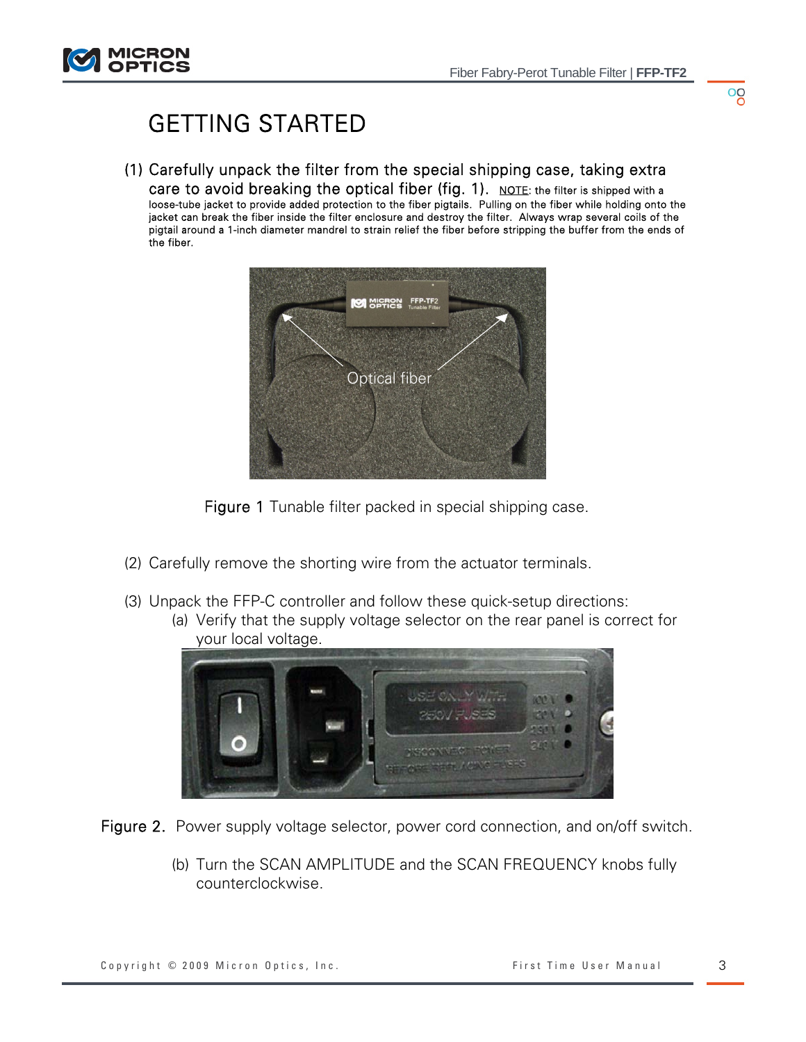

# GETTING STARTED

(1) Carefully unpack the filter from the special shipping case, taking extra care to avoid breaking the optical fiber (fig. 1). NOTE: the filter is shipped with a loose-tube jacket to provide added protection to the fiber pigtails. Pulling on the fiber while holding onto the jacket can break the fiber inside the filter enclosure and destroy the filter. Always wrap several coils of the pigtail around a 1-inch diameter mandrel to strain relief the fiber before stripping the buffer from the ends of the fiber.



Figure 1 Tunable filter packed in special shipping case.

- (2) Carefully remove the shorting wire from the actuator terminals.
- (3) Unpack the FFP-C controller and follow these quick-setup directions: (a) Verify that the supply voltage selector on the rear panel is correct for



Figure 2. Power supply voltage selector, power cord connection, and on/off switch.

(b) Turn the SCAN AMPLITUDE and the SCAN FREQUENCY knobs fully counterclockwise.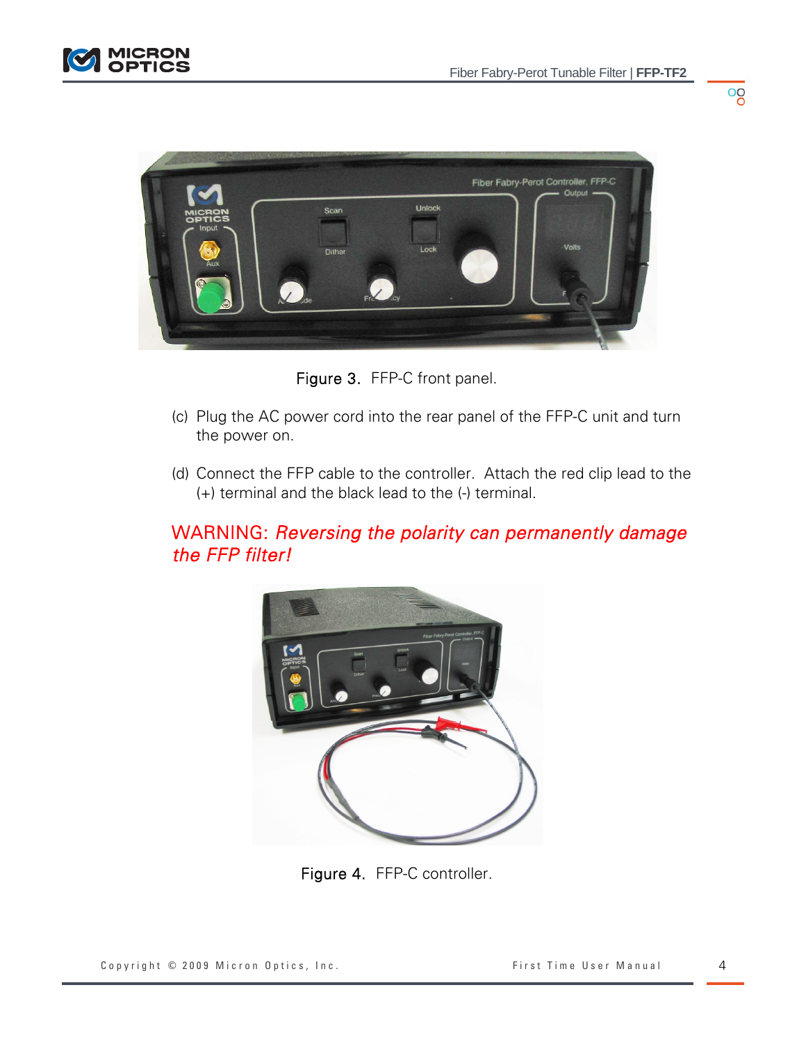$\frac{1}{\sqrt{2}}$ 





Figure 3. FFP-C front panel.

- (c) Plug the AC power cord into the rear panel of the FFP-C unit and turn the power on.
- (d) Connect the FFP cable to the controller. Attach the red clip lead to the (+) terminal and the black lead to the (-) terminal.

# WARNING: *Reversing the polarity can permanently damage the FFP filter!*



Figure 4. FFP-C controller.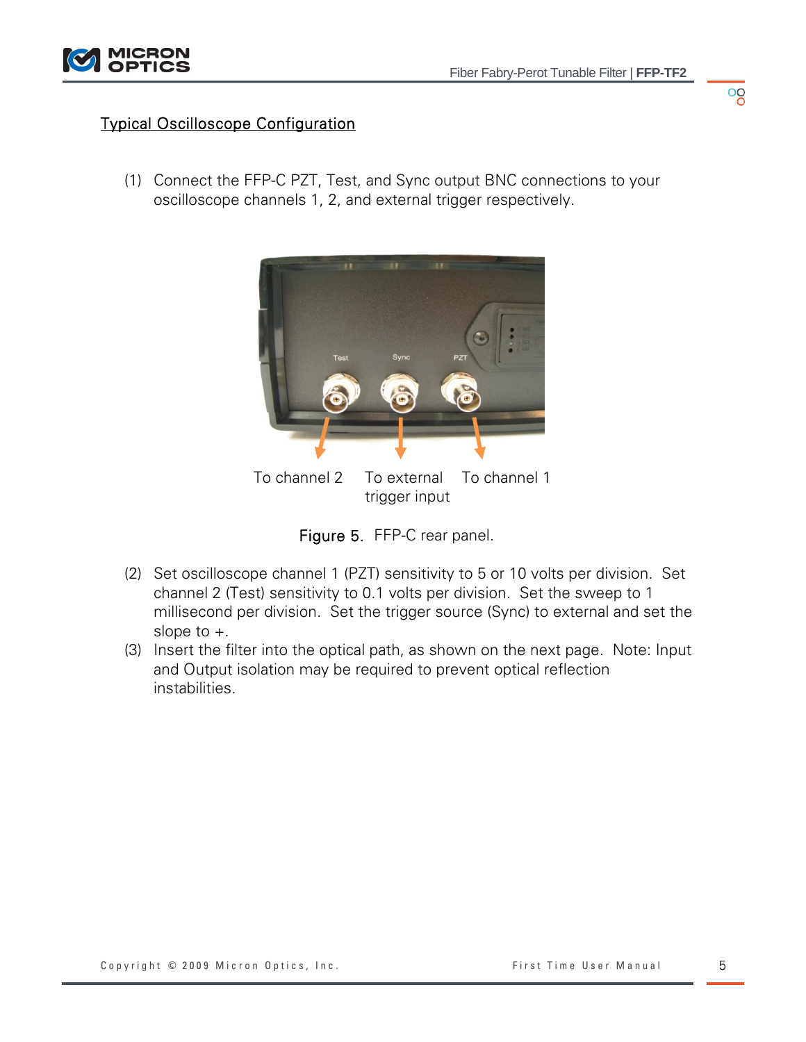#### Typical Oscilloscope Configuration

(1) Connect the FFP-C PZT, Test, and Sync output BNC connections to your oscilloscope channels 1, 2, and external trigger respectively.





- (2) Set oscilloscope channel 1 (PZT) sensitivity to 5 or 10 volts per division. Set channel 2 (Test) sensitivity to 0.1 volts per division. Set the sweep to 1 millisecond per division. Set the trigger source (Sync) to external and set the slope to +.
- (3) Insert the filter into the optical path, as shown on the next page. Note: Input and Output isolation may be required to prevent optical reflection instabilities.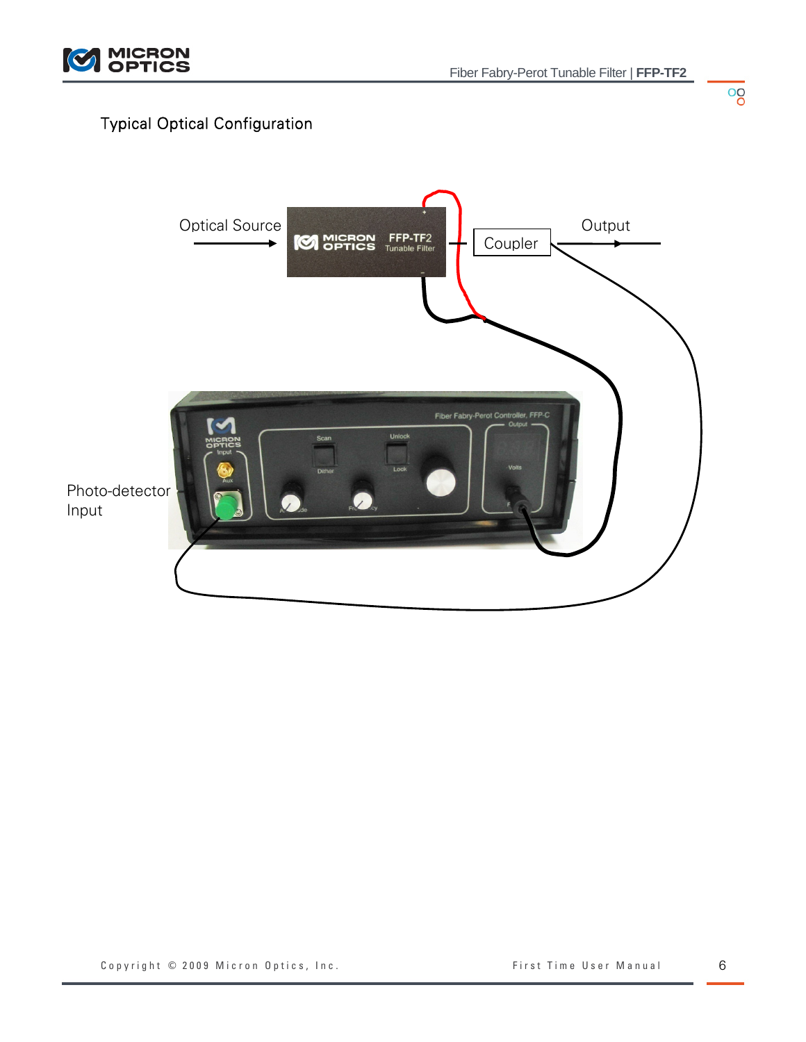

## Typical Optical Configuration



 $\overline{\overset{0}{\circ}}$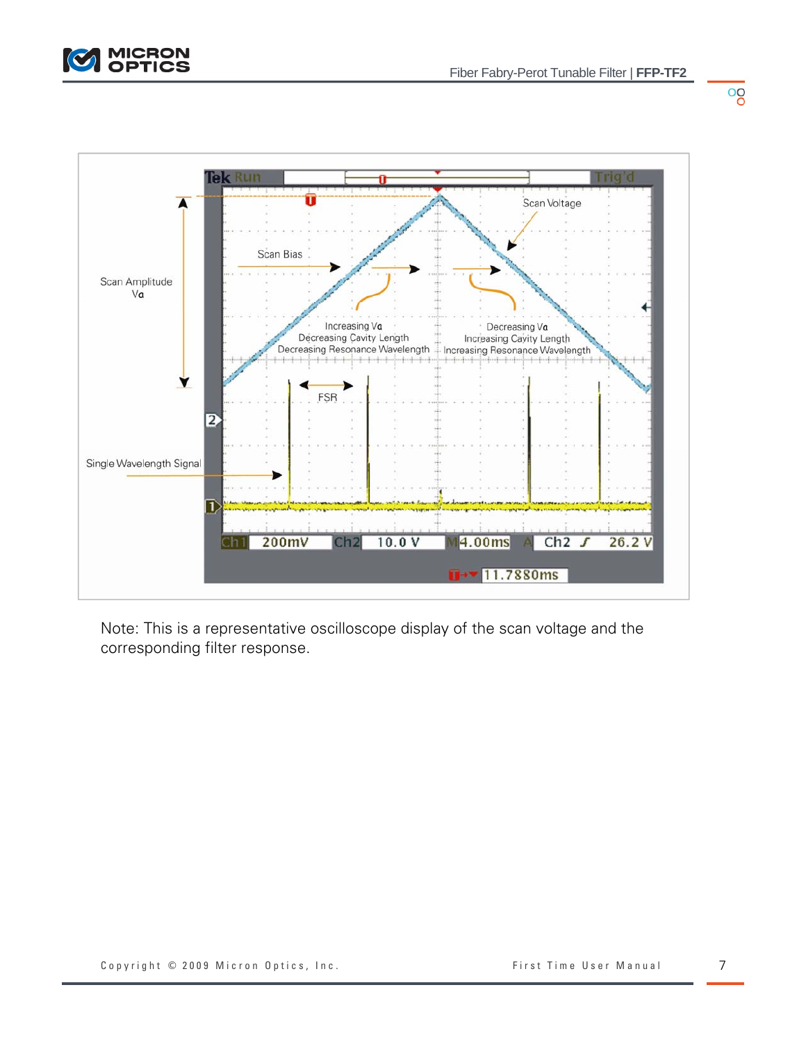

oo



Note: This is a representative oscilloscope display of the scan voltage and the corresponding filter response.

Copyright © 2009 Micron Optics, Inc. The South Copyright © 2009 Micron Optics, Inc. The South Communist Copyright O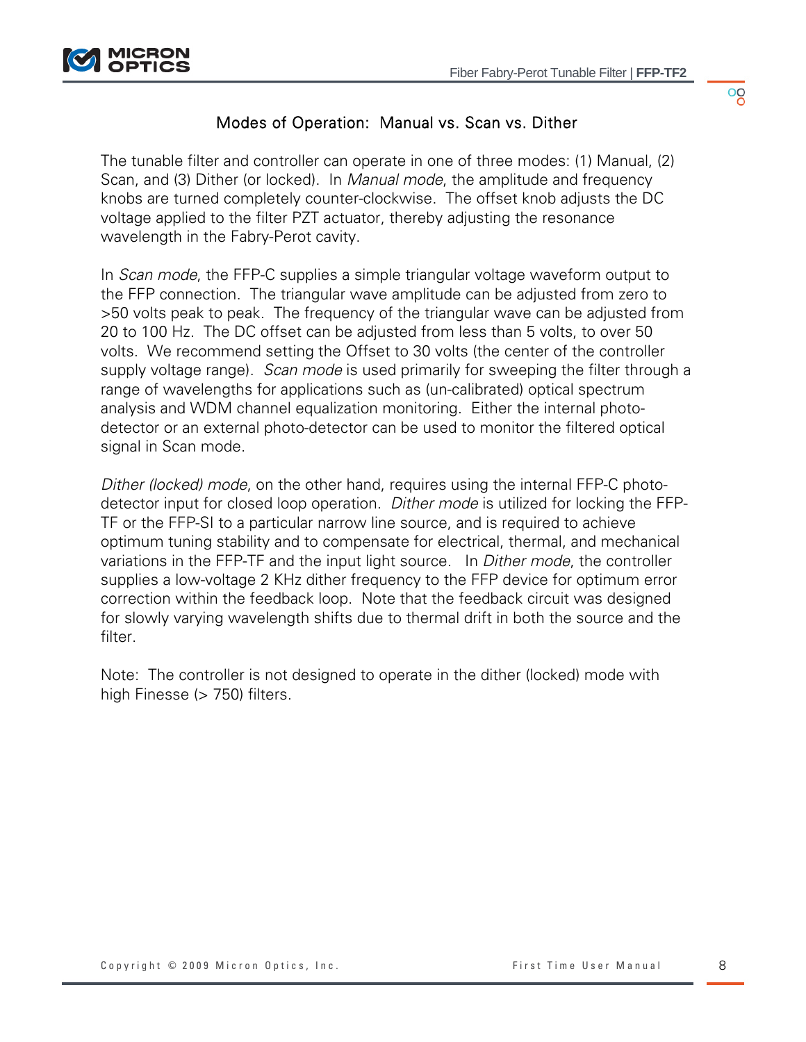

 $^{00}_{0}$ 

## Modes of Operation: Manual vs. Scan vs. Dither

The tunable filter and controller can operate in one of three modes: (1) Manual, (2) Scan, and (3) Dither (or locked). In *Manual mode*, the amplitude and frequency knobs are turned completely counter-clockwise. The offset knob adjusts the DC voltage applied to the filter PZT actuator, thereby adjusting the resonance wavelength in the Fabry-Perot cavity.

In *Scan mode*, the FFP-C supplies a simple triangular voltage waveform output to the FFP connection. The triangular wave amplitude can be adjusted from zero to >50 volts peak to peak. The frequency of the triangular wave can be adjusted from 20 to 100 Hz. The DC offset can be adjusted from less than 5 volts, to over 50 volts. We recommend setting the Offset to 30 volts (the center of the controller supply voltage range). *Scan mode* is used primarily for sweeping the filter through a range of wavelengths for applications such as (un-calibrated) optical spectrum analysis and WDM channel equalization monitoring. Either the internal photodetector or an external photo-detector can be used to monitor the filtered optical signal in Scan mode.

*Dither (locked) mode*, on the other hand, requires using the internal FFP-C photodetector input for closed loop operation. *Dither mode* is utilized for locking the FFP-TF or the FFP-SI to a particular narrow line source, and is required to achieve optimum tuning stability and to compensate for electrical, thermal, and mechanical variations in the FFP-TF and the input light source. In *Dither mode*, the controller supplies a low-voltage 2 KHz dither frequency to the FFP device for optimum error correction within the feedback loop. Note that the feedback circuit was designed for slowly varying wavelength shifts due to thermal drift in both the source and the filter.

Note: The controller is not designed to operate in the dither (locked) mode with high Finesse (> 750) filters.